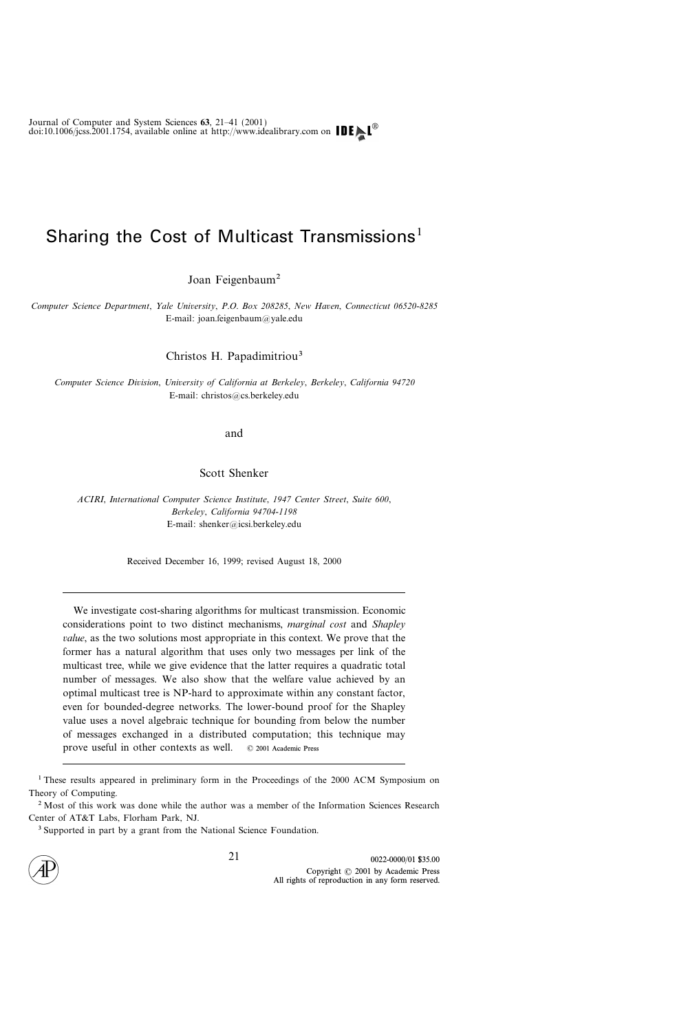# Sharing the Cost of Multicast Transmissions<sup>1</sup>

Joan Feigenbaum<sup>2</sup>

Computer Science Department, Yale University, P.O. Box 208285, New Haven, Connecticut 06520-8285 E-mail: joan.feigenbaum@yale.edu

### Christos H. Papadimitriou<sup>3</sup>

Computer Science Division, University of California at Berkeley, Berkeley, California 94720 E-mail: christos@cs.berkeley.edu

and

## Scott Shenker

ACIRI, International Computer Science Institute, 1947 Center Street, Suite 600, Berkeley, California 94704-1198 E-mail: shenker@icsi.berkeley.edu

Received December 16, 1999; revised August 18, 2000

We investigate cost-sharing algorithms for multicast transmission. Economic considerations point to two distinct mechanisms, marginal cost and Shapley value, as the two solutions most appropriate in this context. We prove that the former has a natural algorithm that uses only two messages per link of the multicast tree, while we give evidence that the latter requires a quadratic total number of messages. We also show that the welfare value achieved by an optimal multicast tree is NP-hard to approximate within any constant factor, even for bounded-degree networks. The lower-bound proof for the Shapley value uses a novel algebraic technique for bounding from below the number of messages exchanged in a distributed computation; this technique may prove useful in other contexts as well.  $\circ$  2001 Academic Press

<sup>&</sup>lt;sup>3</sup> Supported in part by a grant from the National Science Foundation.



<sup>&</sup>lt;sup>1</sup> These results appeared in preliminary form in the Proceedings of the 2000 ACM Symposium on Theory of Computing.

<sup>&</sup>lt;sup>2</sup> Most of this work was done while the author was a member of the Information Sciences Research Center of AT&T Labs, Florham Park, NJ.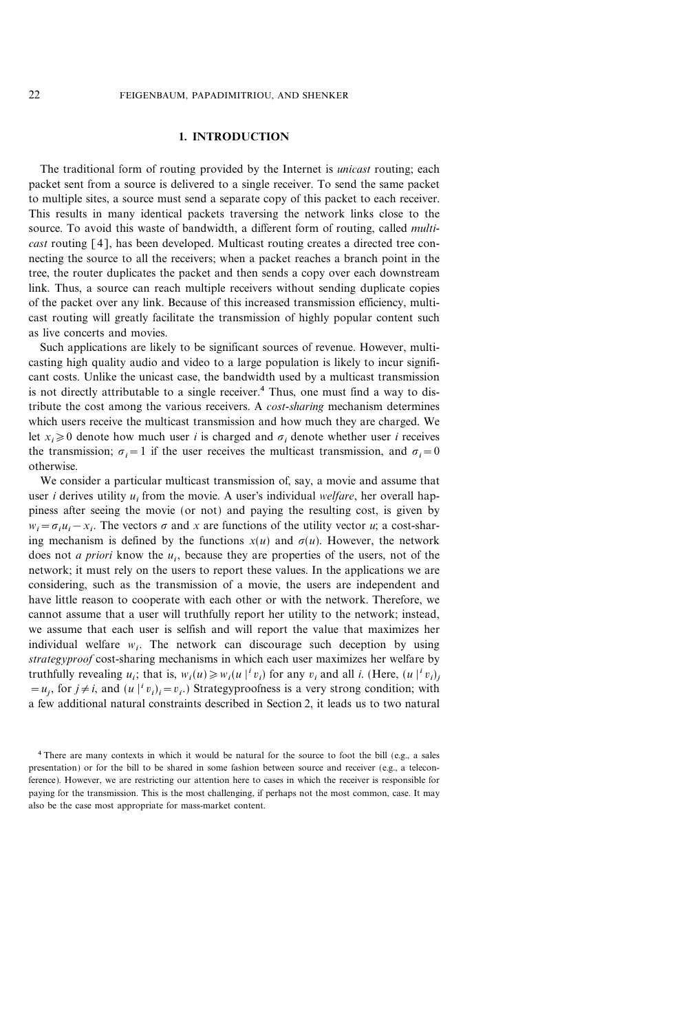#### 1. INTRODUCTION

The traditional form of routing provided by the Internet is *unicast* routing; each packet sent from a source is delivered to a single receiver. To send the same packet to multiple sites, a source must send a separate copy of this packet to each receiver. This results in many identical packets traversing the network links close to the source. To avoid this waste of bandwidth, a different form of routing, called *multi*cast routing [4], has been developed. Multicast routing creates a directed tree connecting the source to all the receivers; when a packet reaches a branch point in the tree, the router duplicates the packet and then sends a copy over each downstream link. Thus, a source can reach multiple receivers without sending duplicate copies of the packet over any link. Because of this increased transmission efficiency, multicast routing will greatly facilitate the transmission of highly popular content such as live concerts and movies.

Such applications are likely to be significant sources of revenue. However, multicasting high quality audio and video to a large population is likely to incur significant costs. Unlike the unicast case, the bandwidth used by a multicast transmission is not directly attributable to a single receiver.<sup>4</sup> Thus, one must find a way to distribute the cost among the various receivers. A *cost-sharing* mechanism determines which users receive the multicast transmission and how much they are charged. We let  $x_i \geq 0$  denote how much user i is charged and  $\sigma_i$  denote whether user i receives the transmission;  $\sigma_i=1$  if the user receives the multicast transmission, and  $\sigma_i=0$ otherwise.

We consider a particular multicast transmission of, say, a movie and assume that user i derives utility  $u_i$  from the movie. A user's individual welfare, her overall happiness after seeing the movie (or not) and paying the resulting cost, is given by  $w_i = \sigma_i u_i - x_i$ . The vectors  $\sigma$  and x are functions of the utility vector u; a cost-sharing mechanism is defined by the functions  $x(u)$  and  $\sigma(u)$ . However, the network does not *a priori* know the  $u_i$ , because they are properties of the users, not of the network; it must rely on the users to report these values. In the applications we are considering, such as the transmission of a movie, the users are independent and have little reason to cooperate with each other or with the network. Therefore, we cannot assume that a user will truthfully report her utility to the network; instead, we assume that each user is selfish and will report the value that maximizes her individual welfare  $w_i$ . The network can discourage such deception by using strategyproof cost-sharing mechanisms in which each user maximizes her welfare by truthfully revealing  $u_i$ ; that is,  $w_i(u) \ge w_i(u | i v_i)$  for any  $v_i$  and all *i*. (Here,  $(u | i v_i)_i$  $=u_j$ , for  $j \neq i$ , and  $(u | v_i)_i = v_i$ .) Strategyproofness is a very strong condition; with a few additional natural constraints described in Section 2, it leads us to two natural

<sup>&</sup>lt;sup>4</sup> There are many contexts in which it would be natural for the source to foot the bill (e.g., a sales presentation) or for the bill to be shared in some fashion between source and receiver (e.g., a teleconference). However, we are restricting our attention here to cases in which the receiver is responsible for paying for the transmission. This is the most challenging, if perhaps not the most common, case. It may also be the case most appropriate for mass-market content.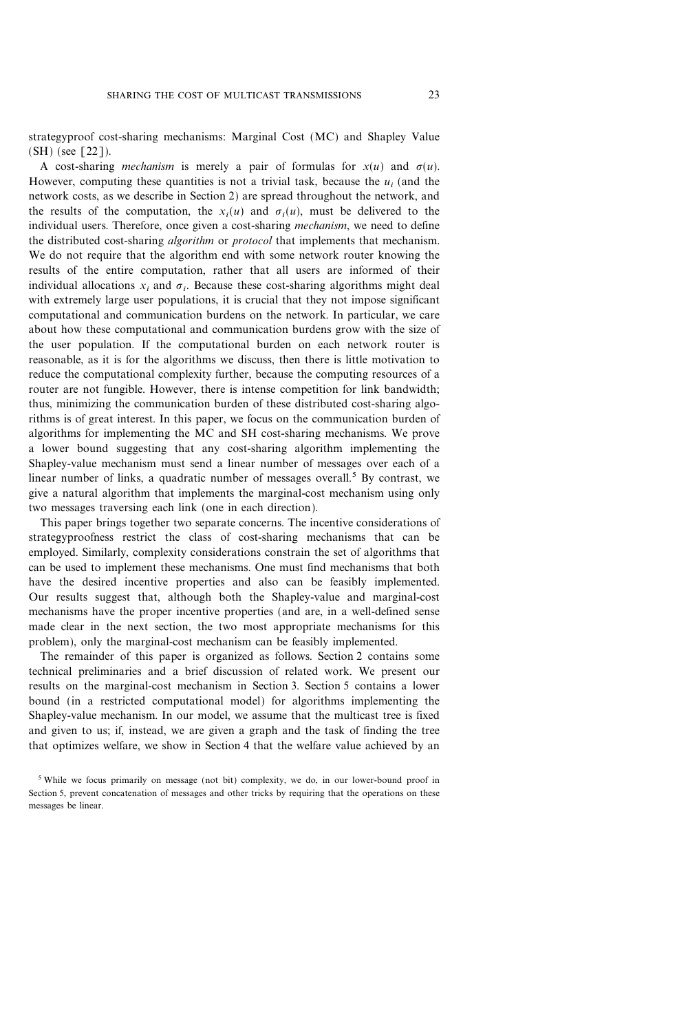strategyproof cost-sharing mechanisms: Marginal Cost (MC) and Shapley Value (SH) (see [22]).

A cost-sharing *mechanism* is merely a pair of formulas for  $x(u)$  and  $\sigma(u)$ . However, computing these quantities is not a trivial task, because the  $u_i$  (and the network costs, as we describe in Section 2) are spread throughout the network, and the results of the computation, the  $x_i(u)$  and  $\sigma_i(u)$ , must be delivered to the individual users. Therefore, once given a cost-sharing *mechanism*, we need to define the distributed cost-sharing *algorithm* or *protocol* that implements that mechanism. We do not require that the algorithm end with some network router knowing the results of the entire computation, rather that all users are informed of their individual allocations  $x_i$  and  $\sigma_i$ . Because these cost-sharing algorithms might deal with extremely large user populations, it is crucial that they not impose significant computational and communication burdens on the network. In particular, we care about how these computational and communication burdens grow with the size of the user population. If the computational burden on each network router is reasonable, as it is for the algorithms we discuss, then there is little motivation to reduce the computational complexity further, because the computing resources of a router are not fungible. However, there is intense competition for link bandwidth; thus, minimizing the communication burden of these distributed cost-sharing algorithms is of great interest. In this paper, we focus on the communication burden of algorithms for implementing the MC and SH cost-sharing mechanisms. We prove a lower bound suggesting that any cost-sharing algorithm implementing the Shapley-value mechanism must send a linear number of messages over each of a linear number of links, a quadratic number of messages overall.<sup>5</sup> By contrast, we give a natural algorithm that implements the marginal-cost mechanism using only two messages traversing each link (one in each direction).

This paper brings together two separate concerns. The incentive considerations of strategyproofness restrict the class of cost-sharing mechanisms that can be employed. Similarly, complexity considerations constrain the set of algorithms that can be used to implement these mechanisms. One must find mechanisms that both have the desired incentive properties and also can be feasibly implemented. Our results suggest that, although both the Shapley-value and marginal-cost mechanisms have the proper incentive properties (and are, in a well-defined sense made clear in the next section, the two most appropriate mechanisms for this problem), only the marginal-cost mechanism can be feasibly implemented.

The remainder of this paper is organized as follows. Section 2 contains some technical preliminaries and a brief discussion of related work. We present our results on the marginal-cost mechanism in Section 3. Section 5 contains a lower bound (in a restricted computational model) for algorithms implementing the Shapley-value mechanism. In our model, we assume that the multicast tree is fixed and given to us; if, instead, we are given a graph and the task of finding the tree that optimizes welfare, we show in Section 4 that the welfare value achieved by an

<sup>&</sup>lt;sup>5</sup> While we focus primarily on message (not bit) complexity, we do, in our lower-bound proof in Section 5, prevent concatenation of messages and other tricks by requiring that the operations on these messages be linear.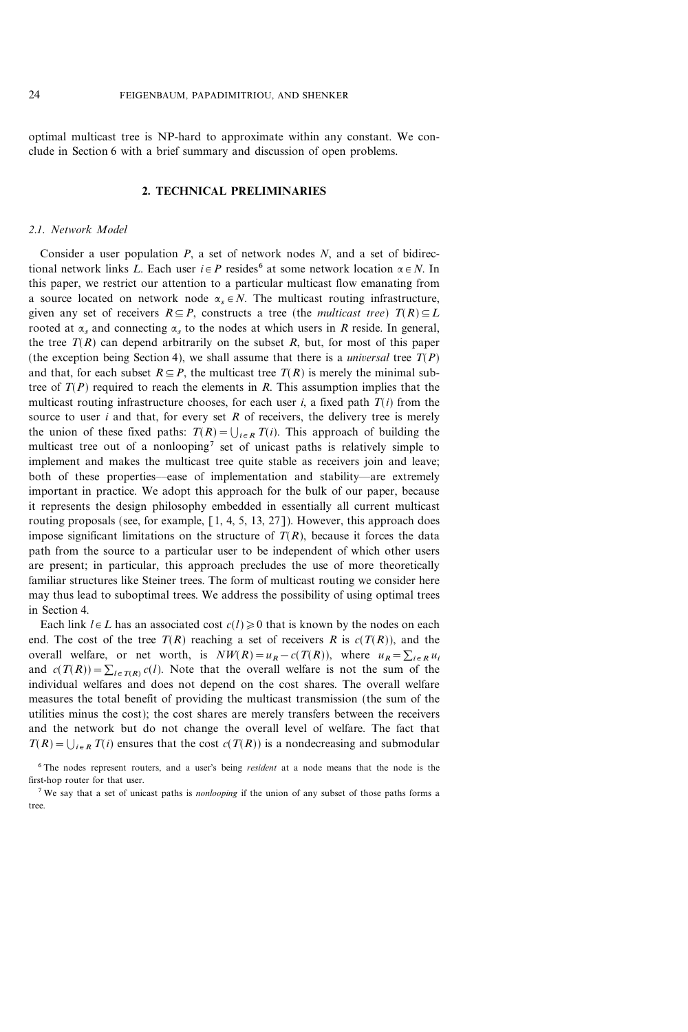optimal multicast tree is NP-hard to approximate within any constant. We conclude in Section 6 with a brief summary and discussion of open problems.

## 2. TECHNICAL PRELIMINARIES

#### 2.1. Network Model

Consider a user population  $P$ , a set of network nodes  $N$ , and a set of bidirectional network links L. Each user  $i \in P$  resides<sup>6</sup> at some network location  $\alpha \in N$ . In this paper, we restrict our attention to a particular multicast flow emanating from a source located on network node  $\alpha_s \in N$ . The multicast routing infrastructure, given any set of receivers  $R \subseteq P$ , constructs a tree (the *multicast tree*)  $T(R) \subseteq L$ rooted at  $\alpha_s$  and connecting  $\alpha_s$  to the nodes at which users in R reside. In general, the tree  $T(R)$  can depend arbitrarily on the subset R, but, for most of this paper (the exception being Section 4), we shall assume that there is a *universal* tree  $T(P)$ and that, for each subset  $R \subseteq P$ , the multicast tree  $T(R)$  is merely the minimal subtree of  $T(P)$  required to reach the elements in R. This assumption implies that the multicast routing infrastructure chooses, for each user i, a fixed path  $T(i)$  from the source to user  $i$  and that, for every set  $R$  of receivers, the delivery tree is merely the union of these fixed paths:  $T(R) = \bigcup_{i \in R} T(i)$ . This approach of building the multicast tree out of a nonlooping<sup>7</sup> set of unicast paths is relatively simple to implement and makes the multicast tree quite stable as receivers join and leave; both of these properties—ease of implementation and stability—are extremely important in practice. We adopt this approach for the bulk of our paper, because it represents the design philosophy embedded in essentially all current multicast routing proposals (see, for example,  $[1, 4, 5, 13, 27]$ ). However, this approach does impose significant limitations on the structure of  $T(R)$ , because it forces the data path from the source to a particular user to be independent of which other users are present; in particular, this approach precludes the use of more theoretically familiar structures like Steiner trees. The form of multicast routing we consider here may thus lead to suboptimal trees. We address the possibility of using optimal trees in Section 4.

Each link  $l \in L$  has an associated cost  $c(l) \geq 0$  that is known by the nodes on each end. The cost of the tree  $T(R)$  reaching a set of receivers R is  $c(T(R))$ , and the overall welfare, or net worth, is  $NW(R) = u_R - c(T(R))$ , where  $u_R = \sum_{i \in R} u_i$ and  $c(T(R)) = \sum_{l \in T(R)} c(l)$ . Note that the overall welfare is not the sum of the individual welfares and does not depend on the cost shares. The overall welfare measures the total benefit of providing the multicast transmission (the sum of the utilities minus the cost); the cost shares are merely transfers between the receivers and the network but do not change the overall level of welfare. The fact that  $T(R) = \bigcup_{i \in R} T(i)$  ensures that the cost  $c(T(R))$  is a nondecreasing and submodular

<sup>&</sup>lt;sup>6</sup> The nodes represent routers, and a user's being *resident* at a node means that the node is the first-hop router for that user.

<sup>&</sup>lt;sup>7</sup> We say that a set of unicast paths is *nonlooping* if the union of any subset of those paths forms a tree.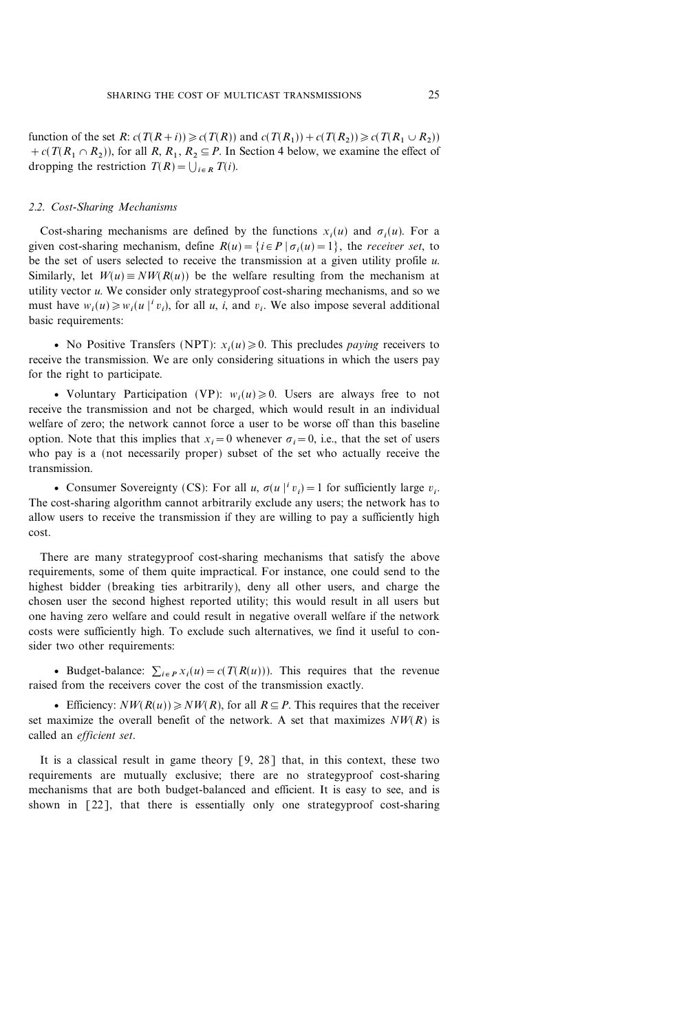function of the set R:  $c(T(R+i)) \ge c(T(R))$  and  $c(T(R_1))+c(T(R_2))\ge c(T(R_1 \cup R_2))$ +c(T(R<sub>1</sub>  $\cap$  R<sub>2</sub>)), for all R, R<sub>1</sub>, R<sub>2</sub>  $\subseteq$  P. In Section 4 below, we examine the effect of dropping the restriction  $T(R) = \bigcup_{i \in R} T(i)$ .

#### 2.2. Cost-Sharing Mechanisms

Cost-sharing mechanisms are defined by the functions  $x_i(u)$  and  $\sigma_i(u)$ . For a given cost-sharing mechanism, define  $R(u) = \{i \in P | \sigma_i(u) = 1\}$ , the *receiver set*, to be the set of users selected to receive the transmission at a given utility profile  $u$ . Similarly, let  $W(u) \equiv NW(R(u))$  be the welfare resulting from the mechanism at utility vector u. We consider only strategyproof cost-sharing mechanisms, and so we must have  $w_i(u) \geq w_i(u \mid^i v_i)$ , for all u, i, and  $v_i$ . We also impose several additional basic requirements:

• No Positive Transfers (NPT):  $x_i(u) \geq 0$ . This precludes *paying* receivers to receive the transmission. We are only considering situations in which the users pay for the right to participate.

• Voluntary Participation (VP):  $w_i(u) \geq 0$ . Users are always free to not receive the transmission and not be charged, which would result in an individual welfare of zero; the network cannot force a user to be worse off than this baseline option. Note that this implies that  $x_i=0$  whenever  $\sigma_i=0$ , i.e., that the set of users who pay is a (not necessarily proper) subset of the set who actually receive the transmission.

• Consumer Sovereignty (CS): For all u,  $\sigma(u | v_i) = 1$  for sufficiently large  $v_i$ . The cost-sharing algorithm cannot arbitrarily exclude any users; the network has to allow users to receive the transmission if they are willing to pay a sufficiently high cost.

There are many strategyproof cost-sharing mechanisms that satisfy the above requirements, some of them quite impractical. For instance, one could send to the highest bidder (breaking ties arbitrarily), deny all other users, and charge the chosen user the second highest reported utility; this would result in all users but one having zero welfare and could result in negative overall welfare if the network costs were sufficiently high. To exclude such alternatives, we find it useful to consider two other requirements:

• Budget-balance:  $\sum_{i \in P} x_i(u) = c(T(R(u)))$ . This requires that the revenue raised from the receivers cover the cost of the transmission exactly.

Efficiency:  $NW(R(u)) \geq N W(R)$ , for all  $R \subseteq P$ . This requires that the receiver set maximize the overall benefit of the network. A set that maximizes  $NW(R)$  is called an efficient set.

It is a classical result in game theory [9, 28] that, in this context, these two requirements are mutually exclusive; there are no strategyproof cost-sharing mechanisms that are both budget-balanced and efficient. It is easy to see, and is shown in [22], that there is essentially only one strategyproof cost-sharing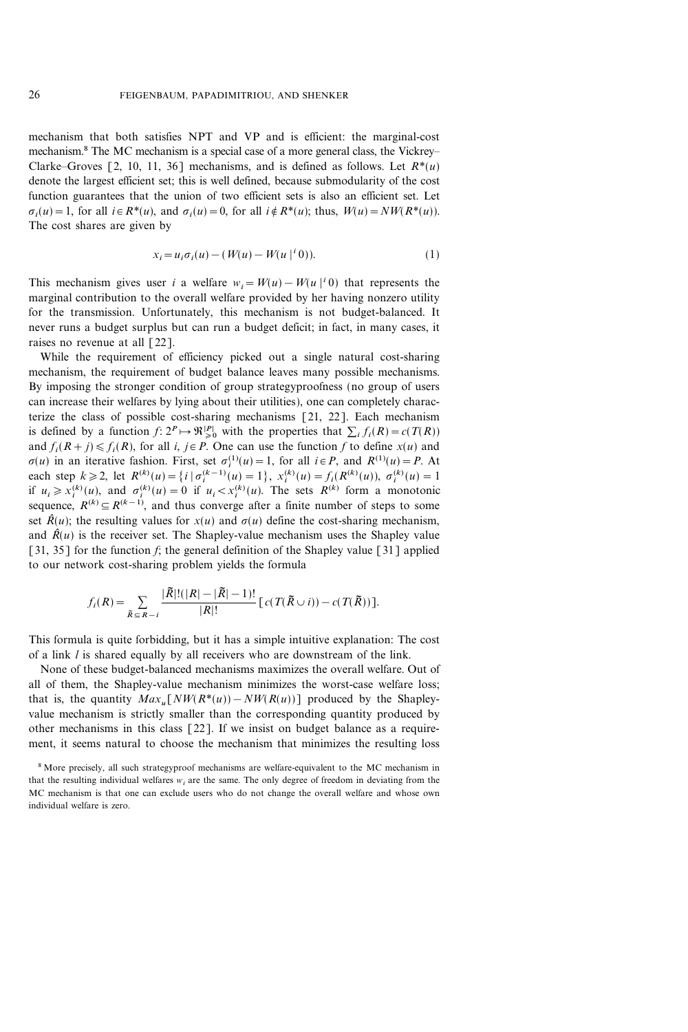mechanism that both satisfies NPT and VP and is efficient: the marginal-cost mechanism.<sup>8</sup> The MC mechanism is a special case of a more general class, the Vickrey Clarke–Groves [2, 10, 11, 36] mechanisms, and is defined as follows. Let  $R^*(u)$ denote the largest efficient set; this is well defined, because submodularity of the cost function guarantees that the union of two efficient sets is also an efficient set. Let  $\sigma_i(u)=1$ , for all  $i \in R^*(u)$ , and  $\sigma_i(u)=0$ , for all  $i \notin R^*(u)$ ; thus,  $W(u)=NW(R^*(u))$ . The cost shares are given by

$$
x_i = u_i \sigma_i(u) - (W(u) - W(u | i 0)).
$$
\n(1)

This mechanism gives user *i* a welfare  $w_i = W(u) - W(u | i \, 0)$  that represents the marginal contribution to the overall welfare provided by her having nonzero utility for the transmission. Unfortunately, this mechanism is not budget-balanced. It never runs a budget surplus but can run a budget deficit; in fact, in many cases, it raises no revenue at all [22].

While the requirement of efficiency picked out a single natural cost-sharing mechanism, the requirement of budget balance leaves many possible mechanisms. By imposing the stronger condition of group strategyproofness (no group of users can increase their welfares by lying about their utilities), one can completely characterize the class of possible cost-sharing mechanisms [21, 22]. Each mechanism is defined by a function  $f: 2^P \mapsto \mathfrak{R}_{\geq 0}^{|P|}$  with the properties that  $\sum_i f_i(R) = c(T(R))$ and  $f_i(R + j) \leq f_i(R)$ , for all i,  $j \in P$ . One can use the function f to define  $x(u)$  and  $\sigma(u)$  in an iterative fashion. First, set  $\sigma_i^{(1)}(u) = 1$ , for all  $i \in P$ , and  $R^{(1)}(u) = P$ . At each step  $k \ge 2$ , let  $R^{(k)}(u) = \{i \mid \sigma_i^{(k-1)}(u) = 1\}$ ,  $x_i^{(k)}(u) = f_i(R^{(k)}(u))$ ,  $\sigma_i^{(k)}(u) = 1$ if  $u_i \ge x_i^{(k)}(u)$ , and  $\sigma_i^{(k)}(u) = 0$  if  $u_i < x_i^{(k)}(u)$ . The sets  $R^{(k)}$  form a monotonic sequence,  $R^{(k)} \subseteq R^{(k-1)}$ , and thus converge after a finite number of steps to some set  $\hat{R}(u)$ ; the resulting values for  $x(u)$  and  $\sigma(u)$  define the cost-sharing mechanism, and  $\hat{R}(u)$  is the receiver set. The Shapley-value mechanism uses the Shapley value [31, 35] for the function f; the general definition of the Shapley value [31] applied to our network cost-sharing problem yields the formula

$$
f_i(R) = \sum_{\widetilde{R} \subseteq R - i} \frac{|\widetilde{R}|!(|R| - |\widetilde{R}| - 1)!}{|R|!} [c(T(\widetilde{R} \cup i)) - c(T(\widetilde{R})))].
$$

This formula is quite forbidding, but it has a simple intuitive explanation: The cost of a link  $l$  is shared equally by all receivers who are downstream of the link.

None of these budget-balanced mechanisms maximizes the overall welfare. Out of all of them, the Shapley-value mechanism minimizes the worst-case welfare loss; that is, the quantity  $Max_u[NW(R^*(u))-NW(R(u))]$  produced by the Shapleyvalue mechanism is strictly smaller than the corresponding quantity produced by other mechanisms in this class [22]. If we insist on budget balance as a requirement, it seems natural to choose the mechanism that minimizes the resulting loss

<sup>8</sup> More precisely, all such strategyproof mechanisms are welfare-equivalent to the MC mechanism in that the resulting individual welfares  $w_i$  are the same. The only degree of freedom in deviating from the MC mechanism is that one can exclude users who do not change the overall welfare and whose own individual welfare is zero.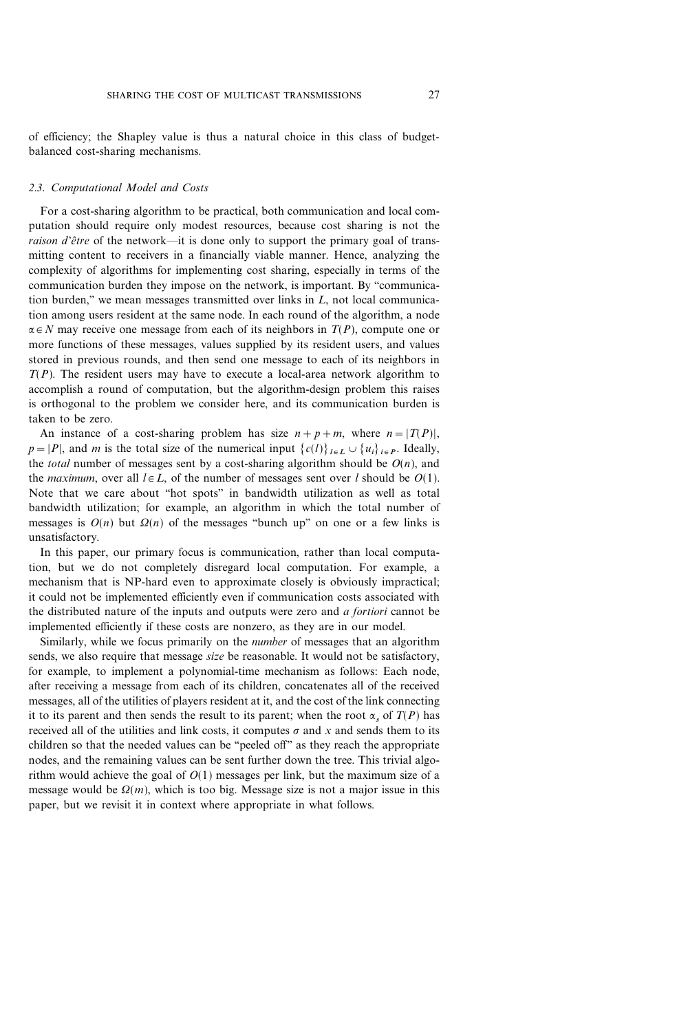#### 2.3. Computational Model and Costs

For a cost-sharing algorithm to be practical, both communication and local computation should require only modest resources, because cost sharing is not the *raison d'être* of the network—it is done only to support the primary goal of transmitting content to receivers in a financially viable manner. Hence, analyzing the complexity of algorithms for implementing cost sharing, especially in terms of the communication burden they impose on the network, is important. By "communication burden," we mean messages transmitted over links in  $L$ , not local communication among users resident at the same node. In each round of the algorithm, a node  $\alpha \in N$  may receive one message from each of its neighbors in  $T(P)$ , compute one or more functions of these messages, values supplied by its resident users, and values stored in previous rounds, and then send one message to each of its neighbors in  $T(P)$ . The resident users may have to execute a local-area network algorithm to accomplish a round of computation, but the algorithm-design problem this raises is orthogonal to the problem we consider here, and its communication burden is taken to be zero.

An instance of a cost-sharing problem has size  $n+p+m$ , where  $n=|T(P)|$ ,  $p=|P|$ , and m is the total size of the numerical input  $\{c(l)\}_{l \in L} \cup \{u_i\}_{i \in P}$ . Ideally, the *total* number of messages sent by a cost-sharing algorithm should be  $O(n)$ , and the *maximum*, over all  $l \in L$ , of the number of messages sent over l should be  $O(1)$ . Note that we care about "hot spots" in bandwidth utilization as well as total bandwidth utilization; for example, an algorithm in which the total number of messages is  $O(n)$  but  $\Omega(n)$  of the messages "bunch up" on one or a few links is unsatisfactory.

In this paper, our primary focus is communication, rather than local computation, but we do not completely disregard local computation. For example, a mechanism that is NP-hard even to approximate closely is obviously impractical; it could not be implemented efficiently even if communication costs associated with the distributed nature of the inputs and outputs were zero and *a fortiori* cannot be implemented efficiently if these costs are nonzero, as they are in our model.

Similarly, while we focus primarily on the *number* of messages that an algorithm sends, we also require that message *size* be reasonable. It would not be satisfactory, for example, to implement a polynomial-time mechanism as follows: Each node, after receiving a message from each of its children, concatenates all of the received messages, all of the utilities of players resident at it, and the cost of the link connecting it to its parent and then sends the result to its parent; when the root  $\alpha_s$  of  $T(P)$  has received all of the utilities and link costs, it computes  $\sigma$  and x and sends them to its children so that the needed values can be "peeled off" as they reach the appropriate nodes, and the remaining values can be sent further down the tree. This trivial algorithm would achieve the goal of  $O(1)$  messages per link, but the maximum size of a message would be  $\Omega(m)$ , which is too big. Message size is not a major issue in this paper, but we revisit it in context where appropriate in what follows.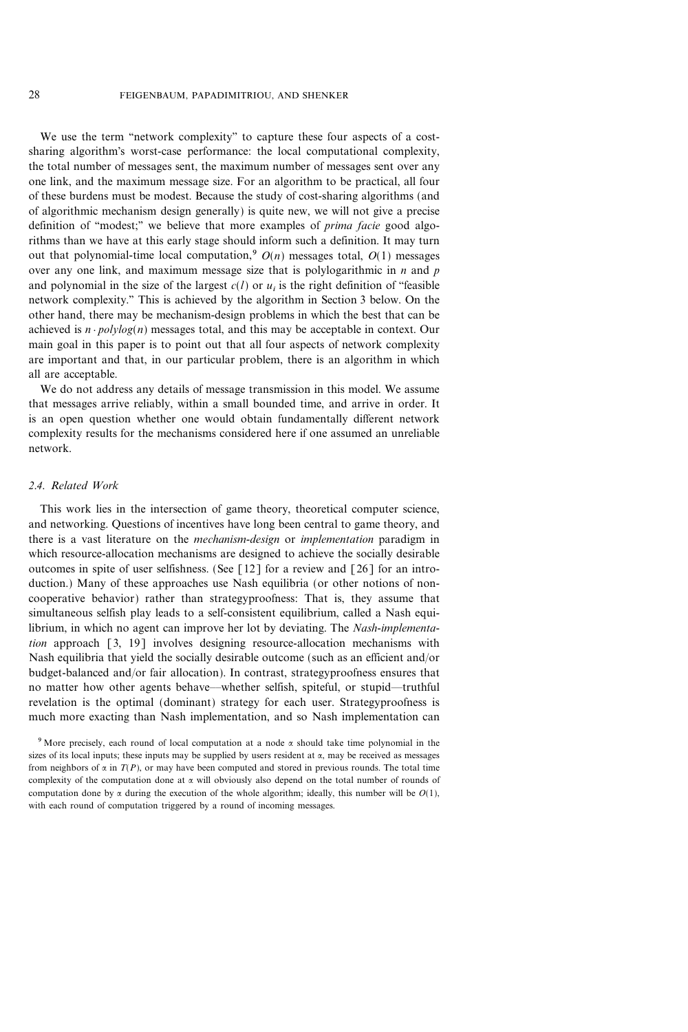We use the term "network complexity" to capture these four aspects of a costsharing algorithm's worst-case performance: the local computational complexity, the total number of messages sent, the maximum number of messages sent over any one link, and the maximum message size. For an algorithm to be practical, all four of these burdens must be modest. Because the study of cost-sharing algorithms (and of algorithmic mechanism design generally) is quite new, we will not give a precise definition of "modest;" we believe that more examples of *prima facie* good algorithms than we have at this early stage should inform such a definition. It may turn out that polynomial-time local computation,<sup>9</sup>  $O(n)$  messages total,  $O(1)$  messages over any one link, and maximum message size that is polylogarithmic in  $n$  and  $p$ and polynomial in the size of the largest  $c(l)$  or  $u_i$  is the right definition of "feasible" network complexity.'' This is achieved by the algorithm in Section 3 below. On the other hand, there may be mechanism-design problems in which the best that can be achieved is  $n \cdot polylog(n)$  messages total, and this may be acceptable in context. Our main goal in this paper is to point out that all four aspects of network complexity are important and that, in our particular problem, there is an algorithm in which all are acceptable.

We do not address any details of message transmission in this model. We assume that messages arrive reliably, within a small bounded time, and arrive in order. It is an open question whether one would obtain fundamentally different network complexity results for the mechanisms considered here if one assumed an unreliable network.

#### 2.4. Related Work

This work lies in the intersection of game theory, theoretical computer science, and networking. Questions of incentives have long been central to game theory, and there is a vast literature on the *mechanism-design* or *implementation* paradigm in which resource-allocation mechanisms are designed to achieve the socially desirable outcomes in spite of user selfishness. (See  $\lceil 12 \rceil$  for a review and  $\lceil 26 \rceil$  for an introduction.) Many of these approaches use Nash equilibria (or other notions of noncooperative behavior) rather than strategyproofness: That is, they assume that simultaneous selfish play leads to a self-consistent equilibrium, called a Nash equilibrium, in which no agent can improve her lot by deviating. The *Nash-implementa*tion approach [3, 19] involves designing resource-allocation mechanisms with Nash equilibria that yield the socially desirable outcome (such as an efficient and/or budget-balanced and/or fair allocation). In contrast, strategyproofness ensures that no matter how other agents behave—whether selfish, spiteful, or stupid—truthful revelation is the optimal (dominant) strategy for each user. Strategyproofness is much more exacting than Nash implementation, and so Nash implementation can

<sup>&</sup>lt;sup>9</sup> More precisely, each round of local computation at a node  $\alpha$  should take time polynomial in the sizes of its local inputs; these inputs may be supplied by users resident at  $\alpha$ , may be received as messages from neighbors of  $\alpha$  in  $T(P)$ , or may have been computed and stored in previous rounds. The total time complexity of the computation done at  $\alpha$  will obviously also depend on the total number of rounds of computation done by  $\alpha$  during the execution of the whole algorithm; ideally, this number will be  $O(1)$ , with each round of computation triggered by a round of incoming messages.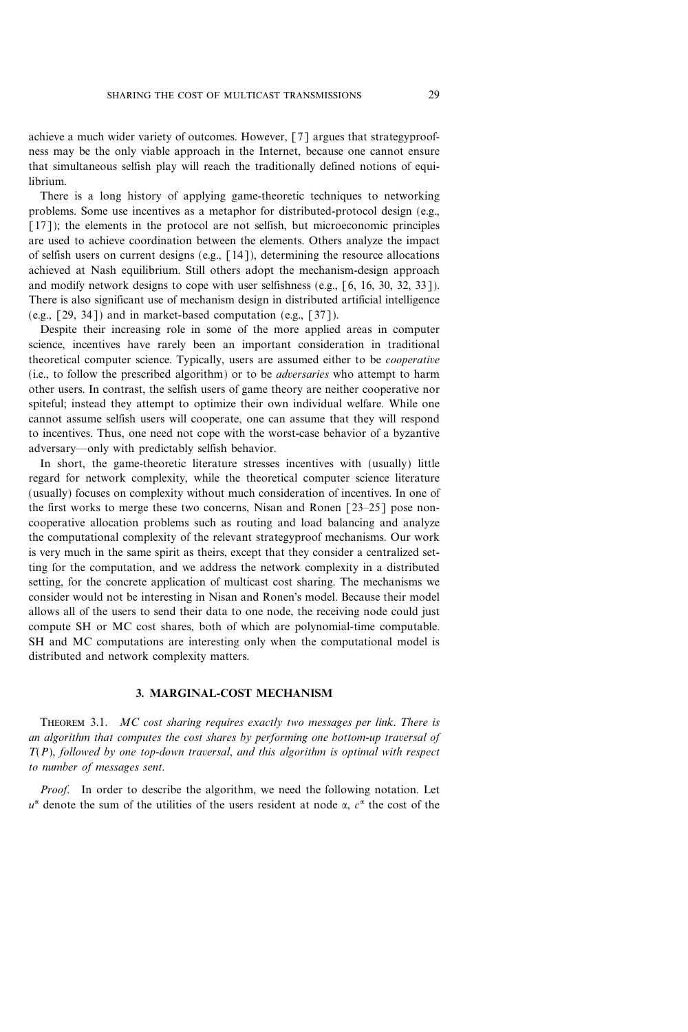achieve a much wider variety of outcomes. However, [7] argues that strategyproofness may be the only viable approach in the Internet, because one cannot ensure that simultaneous selfish play will reach the traditionally defined notions of equilibrium.

There is a long history of applying game-theoretic techniques to networking problems. Some use incentives as a metaphor for distributed-protocol design (e.g., [17]); the elements in the protocol are not selfish, but microeconomic principles are used to achieve coordination between the elements. Others analyze the impact of selfish users on current designs (e.g., [14]), determining the resource allocations achieved at Nash equilibrium. Still others adopt the mechanism-design approach and modify network designs to cope with user selfishness (e.g., [6, 16, 30, 32, 33]). There is also significant use of mechanism design in distributed artificial intelligence (e.g.,  $[29, 34]$ ) and in market-based computation (e.g.,  $[37]$ ).

Despite their increasing role in some of the more applied areas in computer science, incentives have rarely been an important consideration in traditional theoretical computer science. Typically, users are assumed either to be *cooperative* (i.e., to follow the prescribed algorithm) or to be *adversaries* who attempt to harm other users. In contrast, the selfish users of game theory are neither cooperative nor spiteful; instead they attempt to optimize their own individual welfare. While one cannot assume selfish users will cooperate, one can assume that they will respond to incentives. Thus, one need not cope with the worst-case behavior of a byzantive adversary-only with predictably selfish behavior.

In short, the game-theoretic literature stresses incentives with (usually) little regard for network complexity, while the theoretical computer science literature (usually) focuses on complexity without much consideration of incentives. In one of the first works to merge these two concerns, Nisan and Ronen  $[23-25]$  pose noncooperative allocation problems such as routing and load balancing and analyze the computational complexity of the relevant strategyproof mechanisms. Our work is very much in the same spirit as theirs, except that they consider a centralized setting for the computation, and we address the network complexity in a distributed setting, for the concrete application of multicast cost sharing. The mechanisms we consider would not be interesting in Nisan and Ronen's model. Because their model allows all of the users to send their data to one node, the receiving node could just compute SH or MC cost shares, both of which are polynomial-time computable. SH and MC computations are interesting only when the computational model is distributed and network complexity matters.

#### 3. MARGINAL-COST MECHANISM

THEOREM 3.1. MC cost sharing requires exactly two messages per link. There is an algorithm that computes the cost shares by performing one bottom-up traversal of  $T(P)$ , followed by one top-down traversal, and this algorithm is optimal with respect to number of messages sent.

Proof. In order to describe the algorithm, we need the following notation. Let  $u^{\alpha}$  denote the sum of the utilities of the users resident at node  $\alpha$ ,  $c^{\alpha}$  the cost of the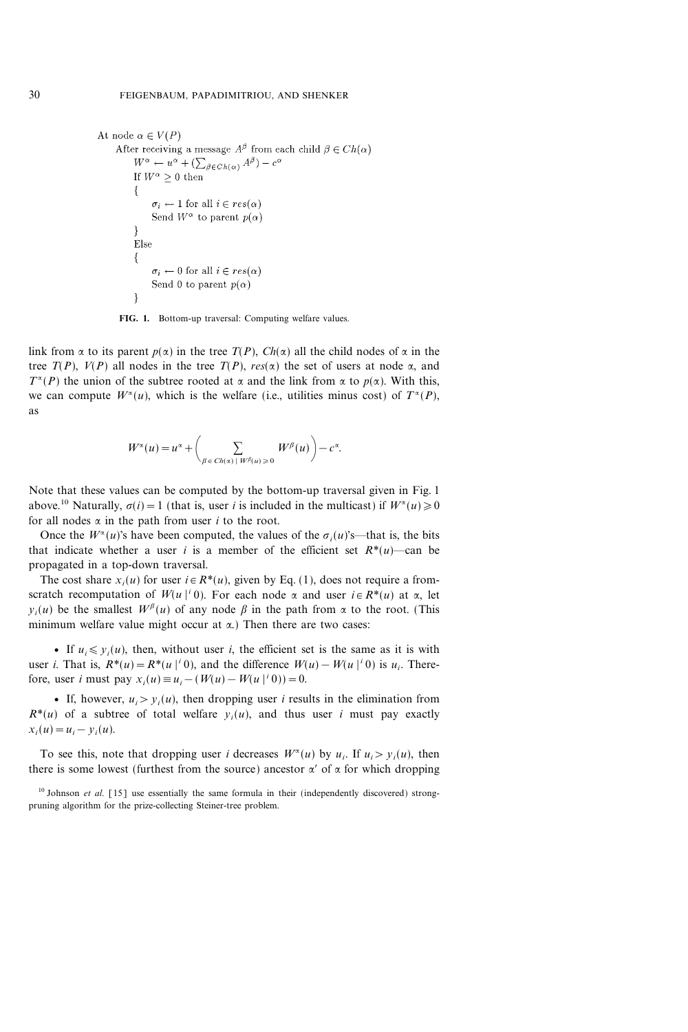```
At node \alpha \in V(P)After receiving a message A^{\beta} from each child \beta \in Ch(\alpha)W^{\alpha} \leftarrow u^{\alpha} + (\sum_{\beta \in Ch(\alpha)} A^{\beta}) - c^{\alpha}If W^{\alpha} > 0 then
             \{\sigma_i \leftarrow 1 for all i \in res(\alpha)Send W^{\alpha} to parent p(\alpha)\mathcal{E}Else
             \{\sigma_i \leftarrow 0 for all i \in res(\alpha)Send 0 to parent p(\alpha)<sup>}</sup>
```
FIG. 1. Bottom-up traversal: Computing welfare values.

link from  $\alpha$  to its parent  $p(\alpha)$  in the tree  $T(P)$ ,  $Ch(\alpha)$  all the child nodes of  $\alpha$  in the tree  $T(P)$ ,  $V(P)$  all nodes in the tree  $T(P)$ ,  $res(\alpha)$  the set of users at node  $\alpha$ , and  $T^{\alpha}(P)$  the union of the subtree rooted at  $\alpha$  and the link from  $\alpha$  to  $p(\alpha)$ . With this, we can compute  $W^{\alpha}(u)$ , which is the welfare (i.e., utilities minus cost) of  $T^{\alpha}(P)$ , as

$$
W^{\alpha}(u) = u^{\alpha} + \left(\sum_{\beta \in Ch(\alpha) \mid W^{\beta}(u) \geq 0} W^{\beta}(u)\right) - c^{\alpha}.
$$

Note that these values can be computed by the bottom-up traversal given in Fig. 1 above.<sup>10</sup> Naturally,  $\sigma(i) = 1$  (that is, user i is included in the multicast) if  $W^{\alpha}(u) \ge 0$ for all nodes  $\alpha$  in the path from user i to the root.

Once the  $W^{\alpha}(u)$ 's have been computed, the values of the  $\sigma_i(u)$ 's—that is, the bits that indicate whether a user i is a member of the efficient set  $R^*(u)$ —can be propagated in a top-down traversal.

The cost share  $x_i(u)$  for user  $i \in R^*(u)$ , given by Eq. (1), does not require a fromscratch recomputation of  $W(u | i 0)$ . For each node  $\alpha$  and user  $i \in R^*(u)$  at  $\alpha$ , let  $y_i(u)$  be the smallest  $W^{\beta}(u)$  of any node  $\beta$  in the path from  $\alpha$  to the root. (This minimum welfare value might occur at  $\alpha$ .) Then there are two cases:

• If  $u_i \leq y_i(u)$ , then, without user i, the efficient set is the same as it is with user *i*. That is,  $R^*(u) = R^*(u | i\ 0)$ , and the difference  $W(u) - W(u | i\ 0)$  is  $u_i$ . Therefore, user *i* must pay  $x_i(u) \equiv u_i - (W(u) - W(u |i^i 0)) = 0$ .

• If, however,  $u_i > y_i(u)$ , then dropping user *i* results in the elimination from  $R^*(u)$  of a subtree of total welfare  $y_i(u)$ , and thus user i must pay exactly  $x_i(u) = u_i - y_i(u)$ .

To see this, note that dropping user *i* decreases  $W^{\alpha}(u)$  by  $u_i$ . If  $u_i > y_i(u)$ , then there is some lowest (furthest from the source) ancestor  $\alpha'$  of  $\alpha$  for which dropping

 $10$  Johnson et al. [15] use essentially the same formula in their (independently discovered) strongpruning algorithm for the prize-collecting Steiner-tree problem.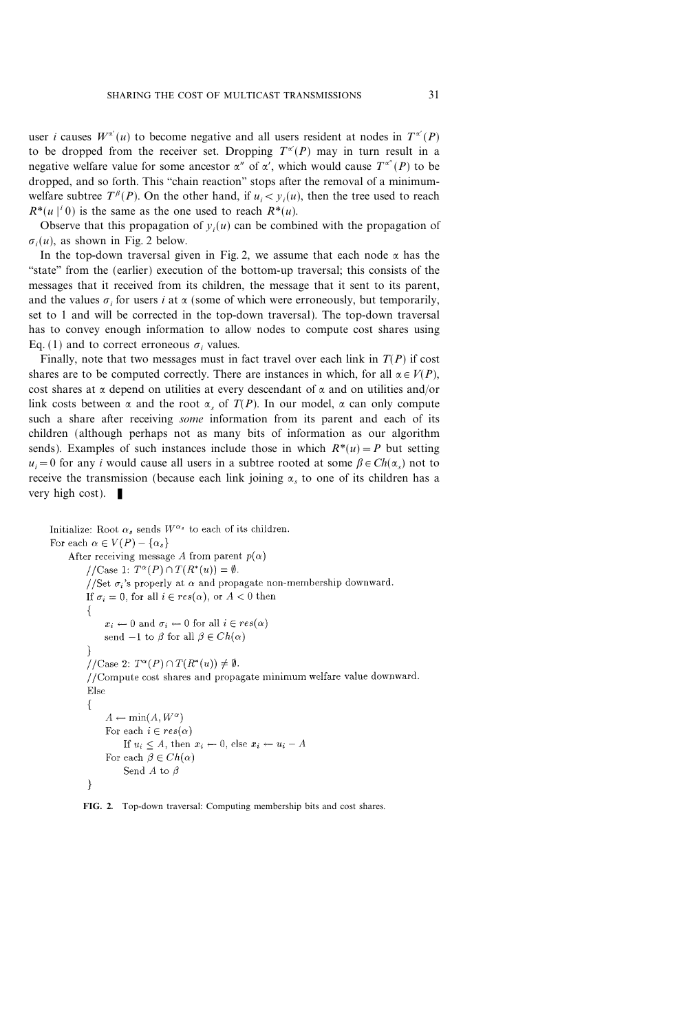user *i* causes  $W^{\alpha'}(u)$  to become negative and all users resident at nodes in  $T^{\alpha'}(P)$ to be dropped from the receiver set. Dropping  $T^{\alpha'}(P)$  may in turn result in a negative welfare value for some ancestor  $\alpha''$  of  $\alpha'$ , which would cause  $T^{\alpha''}(P)$  to be dropped, and so forth. This "chain reaction" stops after the removal of a minimumwelfare subtree  $T^{\beta}(P)$ . On the other hand, if  $u_i < y_i(u)$ , then the tree used to reach  $R^*(u | i \, 0)$  is the same as the one used to reach  $R^*(u)$ .

Observe that this propagation of  $y_i(u)$  can be combined with the propagation of  $\sigma_i(u)$ , as shown in Fig. 2 below.

In the top-down traversal given in Fig. 2, we assume that each node  $\alpha$  has the "state" from the (earlier) execution of the bottom-up traversal; this consists of the messages that it received from its children, the message that it sent to its parent, and the values  $\sigma_i$  for users i at  $\alpha$  (some of which were erroneously, but temporarily, set to 1 and will be corrected in the top-down traversal). The top-down traversal has to convey enough information to allow nodes to compute cost shares using Eq. (1) and to correct erroneous  $\sigma_i$  values.

Finally, note that two messages must in fact travel over each link in  $T(P)$  if cost shares are to be computed correctly. There are instances in which, for all  $\alpha \in V(P)$ , cost shares at  $\alpha$  depend on utilities at every descendant of  $\alpha$  and on utilities and/or link costs between  $\alpha$  and the root  $\alpha_s$  of  $T(P)$ . In our model,  $\alpha$  can only compute such a share after receiving *some* information from its parent and each of its children (although perhaps not as many bits of information as our algorithm sends). Examples of such instances include those in which  $R^*(u) = P$  but setting  $u_i=0$  for any *i* would cause all users in a subtree rooted at some  $\beta \in Ch(\alpha_s)$  not to receive the transmission (because each link joining  $\alpha_s$  to one of its children has a very high cost).  $\blacksquare$ 

```
Initialize: Root \alpha_s sends W^{\alpha_s} to each of its children.
For each \alpha \in V(P) - {\alpha_s}After receiving message A from parent p(\alpha)//Case 1: T^{\alpha}(P) \cap T(R^*(u)) = \emptyset.
           //Set \sigma_i's properly at \alpha and propagate non-membership downward.
          If \sigma_i = 0, for all i \in res(\alpha), or A < 0 then
           {
                x_i \leftarrow 0 and \sigma_i \leftarrow 0 for all i \in res(\alpha)send -1 to \beta for all \beta \in Ch(\alpha)Ł
           //Case 2: T^{\alpha}(P) \cap T(R^*(u)) \neq \emptyset.
           //Compute cost shares and propagate minimum welfare value downward.
           Else
           ſ
                A \leftarrow min(A, W^{\alpha})For each i \in res(\alpha)If u_i \leq A, then x_i \leftarrow 0, else x_i \leftarrow u_i - AFor each \beta \in Ch(\alpha)Send A to \beta\big\}
```
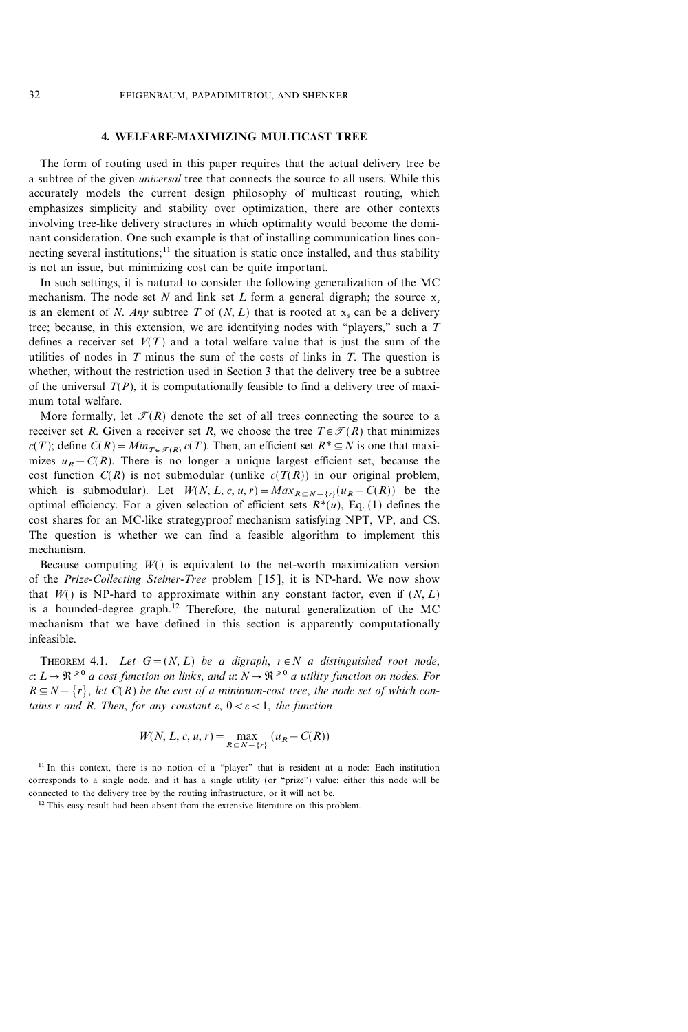#### 4. WELFARE-MAXIMIZING MULTICAST TREE

The form of routing used in this paper requires that the actual delivery tree be a subtree of the given *universal* tree that connects the source to all users. While this accurately models the current design philosophy of multicast routing, which emphasizes simplicity and stability over optimization, there are other contexts involving tree-like delivery structures in which optimality would become the dominant consideration. One such example is that of installing communication lines connecting several institutions;<sup>11</sup> the situation is static once installed, and thus stability is not an issue, but minimizing cost can be quite important.

In such settings, it is natural to consider the following generalization of the MC mechanism. The node set N and link set L form a general digraph; the source  $\alpha_s$ is an element of N. Any subtree T of  $(N, L)$  that is rooted at  $\alpha_s$  can be a delivery tree; because, in this extension, we are identifying nodes with "players," such a  $T$ defines a receiver set  $V(T)$  and a total welfare value that is just the sum of the utilities of nodes in T minus the sum of the costs of links in T. The question is whether, without the restriction used in Section 3 that the delivery tree be a subtree of the universal  $T(P)$ , it is computationally feasible to find a delivery tree of maximum total welfare.

More formally, let  $\mathcal{T}(R)$  denote the set of all trees connecting the source to a receiver set R. Given a receiver set R, we choose the tree  $T \in \mathcal{T}(R)$  that minimizes  $c(T)$ ; define  $C(R) = Min_{T \in \mathcal{T}(R)} c(T)$ . Then, an efficient set  $R^* \subseteq N$  is one that maximizes  $u_R - C(R)$ . There is no longer a unique largest efficient set, because the cost function  $C(R)$  is not submodular (unlike  $c(T(R))$ ) in our original problem, which is submodular). Let  $W(N, L, c, u, r) = Max_{R \subseteq N-\{r\}}(u_R - C(R))$  be the optimal efficiency. For a given selection of efficient sets  $R^*(u)$ , Eq. (1) defines the cost shares for an MC-like strategyproof mechanism satisfying NPT, VP, and CS. The question is whether we can find a feasible algorithm to implement this mechanism.

Because computing  $W()$  is equivalent to the net-worth maximization version of the Prize-Collecting Steiner-Tree problem [15], it is NP-hard. We now show that  $W()$  is NP-hard to approximate within any constant factor, even if  $(N, L)$ is a bounded-degree graph.<sup>12</sup> Therefore, the natural generalization of the MC mechanism that we have defined in this section is apparently computationally infeasible.

THEOREM 4.1. Let  $G=(N, L)$  be a digraph,  $r \in N$  a distinguished root node, c:  $L\to\Re^{\geq0}$  a cost function on links, and u:  $N\to\Re^{\geq0}$  a utility function on nodes. For  $R\subseteq N-\lbrace r\rbrace$ , let  $C(R)$  be the cost of a minimum-cost tree, the node set of which contains r and R. Then, for any constant  $\varepsilon$ ,  $0 < \varepsilon < 1$ , the function

$$
W(N, L, c, u, r) = \max_{R \subseteq N - \{r\}} (u_R - C(R))
$$

 $11$  In this context, there is no notion of a "player" that is resident at a node: Each institution corresponds to a single node, and it has a single utility (or "prize") value; either this node will be connected to the delivery tree by the routing infrastructure, or it will not be.

<sup>&</sup>lt;sup>12</sup> This easy result had been absent from the extensive literature on this problem.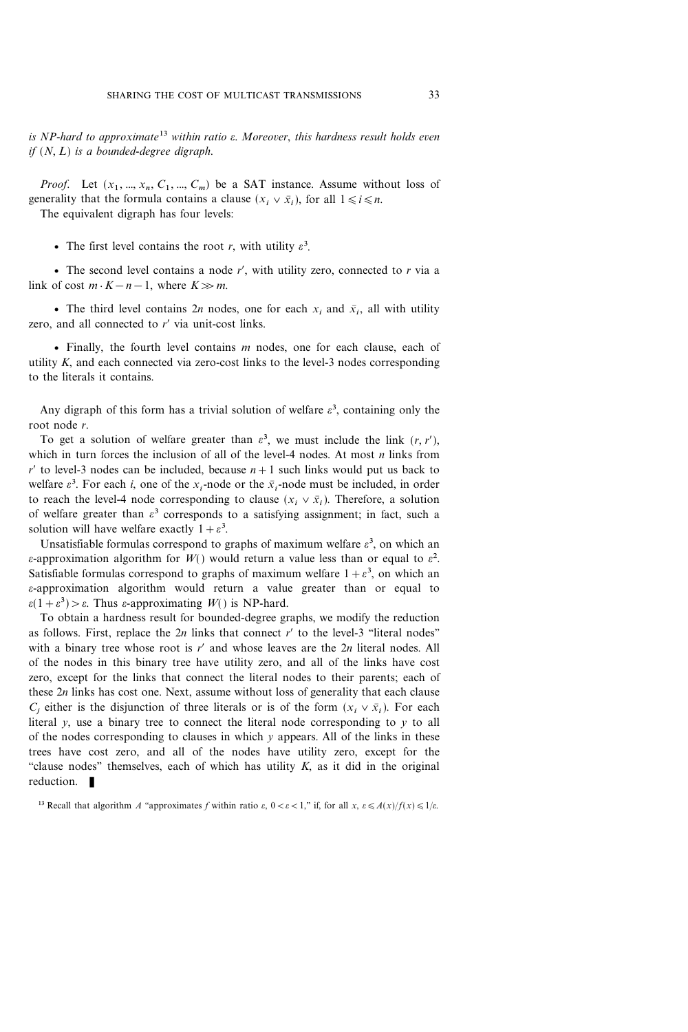is NP-hard to approximate<sup>13</sup> within ratio  $\varepsilon$ . Moreover, this hardness result holds even if  $(N, L)$  is a bounded-degree digraph.

*Proof.* Let  $(x_1, ..., x_n, C_1, ..., C_m)$  be a SAT instance. Assume without loss of generality that the formula contains a clause  $(x_i \vee \overline{x}_i)$ , for all  $1 \le i \le n$ . The equivalent digraph has four levels:

• The first level contains the root r, with utility  $\varepsilon^3$ .

• The second level contains a node  $r'$ , with utility zero, connected to  $r$  via a link of cost  $m \cdot K-n-1$ , where  $K \gg m$ .

• The third level contains  $2n$  nodes, one for each  $x_i$  and  $\bar{x}_i$ , all with utility zero, and all connected to  $r'$  via unit-cost links.

 $\bullet$  Finally, the fourth level contains  $m$  nodes, one for each clause, each of utility  $K$ , and each connected via zero-cost links to the level-3 nodes corresponding to the literals it contains.

Any digraph of this form has a trivial solution of welfare  $\varepsilon^3$ , containing only the root node r.

To get a solution of welfare greater than  $\varepsilon^3$ , we must include the link  $(r, r')$ , which in turn forces the inclusion of all of the level-4 nodes. At most  $n$  links from r' to level-3 nodes can be included, because  $n+1$  such links would put us back to welfare  $\varepsilon^3$ . For each *i*, one of the  $x_i$ -node or the  $\bar{x}_i$ -node must be included, in order to reach the level-4 node corresponding to clause  $(x_i \vee \overline{x}_i)$ . Therefore, a solution of welfare greater than  $\varepsilon^3$  corresponds to a satisfying assignment; in fact, such a solution will have welfare exactly  $1 + \varepsilon^3$ .

Unsatisfiable formulas correspond to graphs of maximum welfare  $\varepsilon^3$ , on which an  $\varepsilon$ -approximation algorithm for  $W()$  would return a value less than or equal to  $\varepsilon^2$ . Satisfiable formulas correspond to graphs of maximum welfare  $1 + \varepsilon^3$ , on which an  $\varepsilon$ -approximation algorithm would return a value greater than or equal to  $\varepsilon(1+\varepsilon^3) > \varepsilon$ . Thus  $\varepsilon$ -approximating  $W()$  is NP-hard.

To obtain a hardness result for bounded-degree graphs, we modify the reduction as follows. First, replace the  $2n$  links that connect r' to the level-3 "literal nodes" with a binary tree whose root is  $r'$  and whose leaves are the  $2n$  literal nodes. All of the nodes in this binary tree have utility zero, and all of the links have cost zero, except for the links that connect the literal nodes to their parents; each of these  $2n$  links has cost one. Next, assume without loss of generality that each clause  $C_i$  either is the disjunction of three literals or is of the form  $(x_i \vee \overline{x}_i)$ . For each literal  $y$ , use a binary tree to connect the literal node corresponding to  $y$  to all of the nodes corresponding to clauses in which  $y$  appears. All of the links in these trees have cost zero, and all of the nodes have utility zero, except for the "clause nodes" themselves, each of which has utility  $K$ , as it did in the original reduction.  $\blacksquare$ 

<sup>13</sup> Recall that algorithm A "approximates f within ratio  $\varepsilon$ ,  $0 < \varepsilon < 1$ ," if, for all x,  $\varepsilon \leq A(x)/f(x) \leq 1/\varepsilon$ .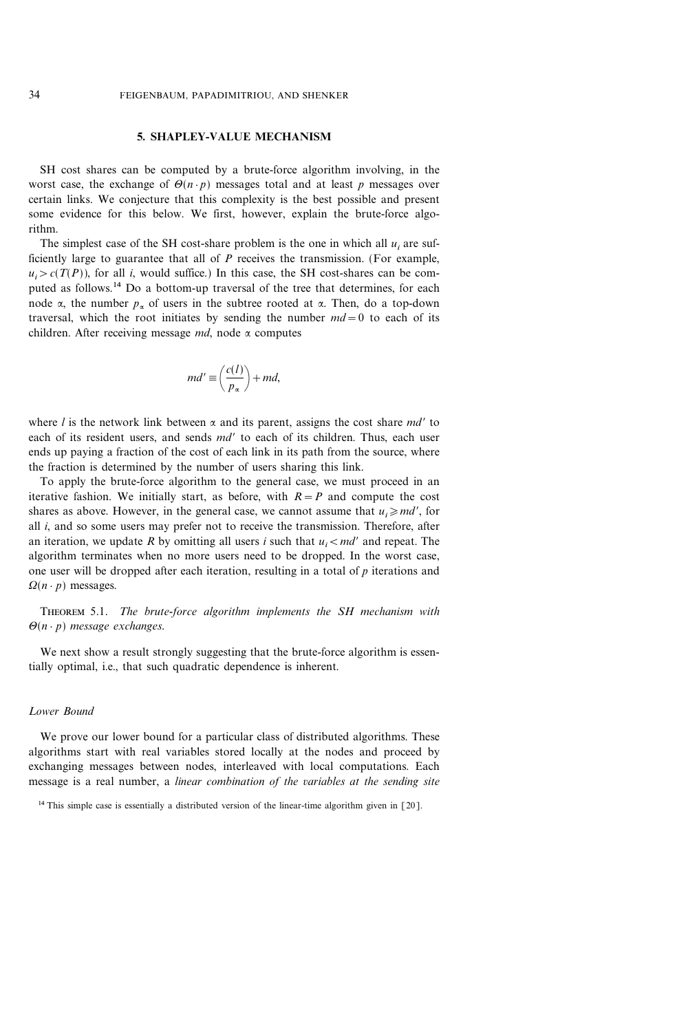### 5. SHAPLEY-VALUE MECHANISM

SH cost shares can be computed by a brute-force algorithm involving, in the worst case, the exchange of  $\Theta(n \cdot p)$  messages total and at least p messages over certain links. We conjecture that this complexity is the best possible and present some evidence for this below. We first, however, explain the brute-force algorithm.

The simplest case of the SH cost-share problem is the one in which all  $u_i$  are sufficiently large to guarantee that all of  $P$  receives the transmission. (For example,  $u_i > c(T(P))$ , for all i, would suffice.) In this case, the SH cost-shares can be computed as follows.<sup>14</sup> Do a bottom-up traversal of the tree that determines, for each node  $\alpha$ , the number  $p_{\alpha}$  of users in the subtree rooted at  $\alpha$ . Then, do a top-down traversal, which the root initiates by sending the number  $md=0$  to each of its children. After receiving message  $md$ , node  $\alpha$  computes

$$
md' \equiv \left(\frac{c(l)}{p_{\alpha}}\right) + md,
$$

where *l* is the network link between  $\alpha$  and its parent, assigns the cost share *md'* to each of its resident users, and sends md' to each of its children. Thus, each user ends up paying a fraction of the cost of each link in its path from the source, where the fraction is determined by the number of users sharing this link.

To apply the brute-force algorithm to the general case, we must proceed in an iterative fashion. We initially start, as before, with  $R = P$  and compute the cost shares as above. However, in the general case, we cannot assume that  $u_i \geq m d'$ , for all  $i$ , and so some users may prefer not to receive the transmission. Therefore, after an iteration, we update R by omitting all users i such that  $u_i$   $<$  md' and repeat. The algorithm terminates when no more users need to be dropped. In the worst case, one user will be dropped after each iteration, resulting in a total of  $p$  iterations and  $\Omega(n \cdot p)$  messages.

THEOREM 5.1. The brute-force algorithm implements the SH mechanism with  $\Theta(n \cdot p)$  message exchanges.

We next show a result strongly suggesting that the brute-force algorithm is essentially optimal, i.e., that such quadratic dependence is inherent.

#### Lower Bound

We prove our lower bound for a particular class of distributed algorithms. These algorithms start with real variables stored locally at the nodes and proceed by exchanging messages between nodes, interleaved with local computations. Each message is a real number, a *linear combination of the variables at the sending site* 

<sup>14</sup> This simple case is essentially a distributed version of the linear-time algorithm given in [20].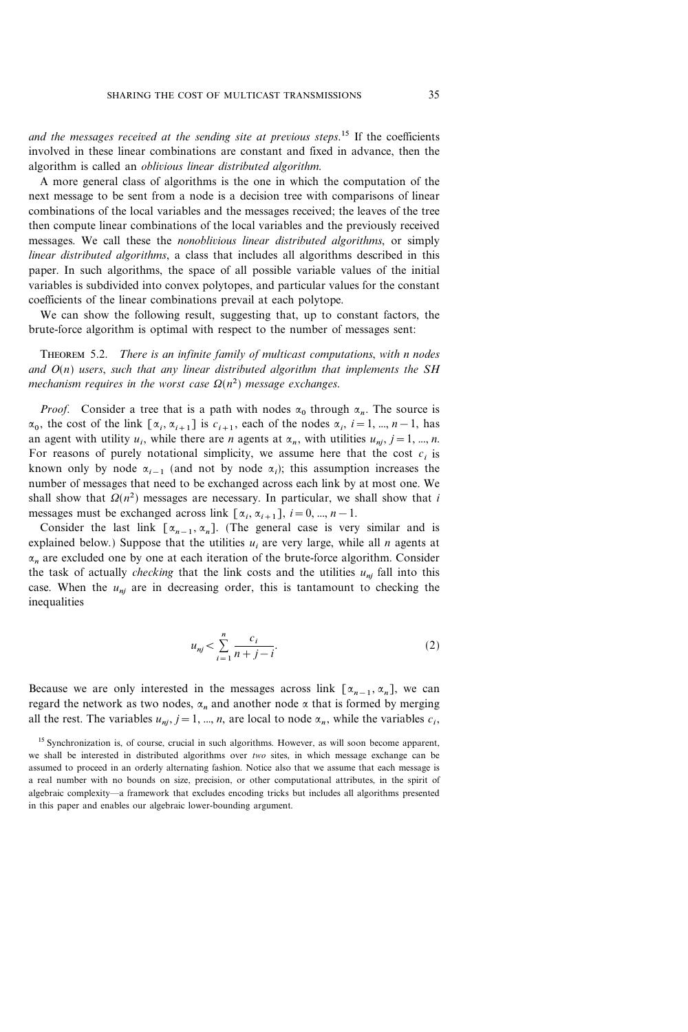and the messages received at the sending site at previous steps.<sup>15</sup> If the coefficients involved in these linear combinations are constant and fixed in advance, then the algorithm is called an oblivious linear distributed algorithm.

A more general class of algorithms is the one in which the computation of the next message to be sent from a node is a decision tree with comparisons of linear combinations of the local variables and the messages received; the leaves of the tree then compute linear combinations of the local variables and the previously received messages. We call these the *nonoblivious linear distributed algorithms*, or simply linear distributed algorithms, a class that includes all algorithms described in this paper. In such algorithms, the space of all possible variable values of the initial variables is subdivided into convex polytopes, and particular values for the constant coefficients of the linear combinations prevail at each polytope.

We can show the following result, suggesting that, up to constant factors, the brute-force algorithm is optimal with respect to the number of messages sent:

THEOREM 5.2. There is an infinite family of multicast computations, with n nodes and  $O(n)$  users, such that any linear distributed algorithm that implements the SH mechanism requires in the worst case  $\Omega(n^2)$  message exchanges.

*Proof.* Consider a tree that is a path with nodes  $\alpha_0$  through  $\alpha_n$ . The source is  $\alpha_0$ , the cost of the link  $[\alpha_i, \alpha_{i+1}]$  is  $c_{i+1}$ , each of the nodes  $\alpha_i$ ,  $i=1, ..., n-1$ , has an agent with utility  $u_i$ , while there are *n* agents at  $\alpha_n$ , with utilities  $u_{ni}$ ,  $j=1, ..., n$ . For reasons of purely notational simplicity, we assume here that the cost  $c_i$  is known only by node  $\alpha_{i-1}$  (and not by node  $\alpha_i$ ); this assumption increases the number of messages that need to be exchanged across each link by at most one. We shall show that  $\Omega(n^2)$  messages are necessary. In particular, we shall show that i messages must be exchanged across link  $\lceil \alpha_i, \alpha_{i+1} \rceil$ ,  $i=0, ..., n-1$ .

Consider the last link  $[\alpha_{n-1}, \alpha_n]$ . (The general case is very similar and is explained below.) Suppose that the utilities  $u_i$  are very large, while all n agents at  $\alpha_n$  are excluded one by one at each iteration of the brute-force algorithm. Consider the task of actually *checking* that the link costs and the utilities  $u_{ni}$  fall into this case. When the  $u_{ni}$  are in decreasing order, this is tantamount to checking the inequalities

$$
u_{nj} < \sum_{i=1}^{n} \frac{c_i}{n+j-i}.
$$
 (2)

Because we are only interested in the messages across link  $[\alpha_{n-1}, \alpha_n]$ , we can regard the network as two nodes,  $\alpha_n$  and another node  $\alpha$  that is formed by merging all the rest. The variables  $u_{ni}$ ,  $j=1, ..., n$ , are local to node  $\alpha_n$ , while the variables  $c_i$ ,

<sup>&</sup>lt;sup>15</sup> Synchronization is, of course, crucial in such algorithms. However, as will soon become apparent, we shall be interested in distributed algorithms over two sites, in which message exchange can be assumed to proceed in an orderly alternating fashion. Notice also that we assume that each message is a real number with no bounds on size, precision, or other computational attributes, in the spirit of algebraic complexity—a framework that excludes encoding tricks but includes all algorithms presented in this paper and enables our algebraic lower-bounding argument.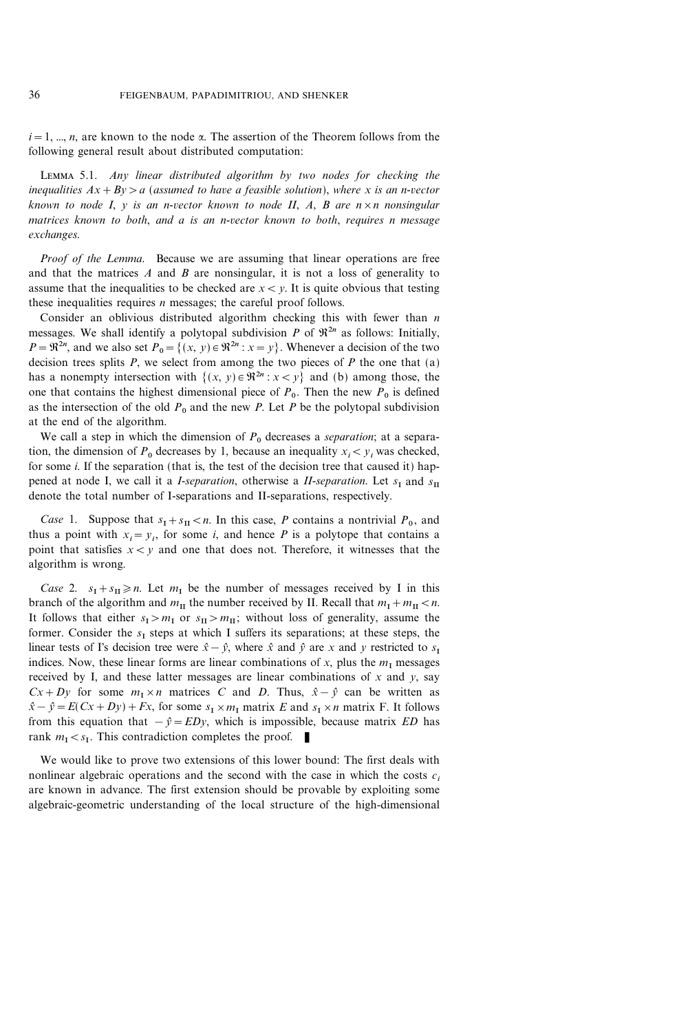$i=1, ..., n$ , are known to the node  $\alpha$ . The assertion of the Theorem follows from the following general result about distributed computation:

Lemma 5.1. Any linear distributed algorithm by two nodes for checking the inequalities  $Ax + By > a$  (assumed to have a feasible solution), where x is an n-vector known to node I, y is an n-vector known to node II, A, B are  $n \times n$  nonsingular matrices known to both, and a is an n-vector known to both, requires n message exchanges.

Proof of the Lemma. Because we are assuming that linear operations are free and that the matrices  $\vec{A}$  and  $\vec{B}$  are nonsingular, it is not a loss of generality to assume that the inequalities to be checked are  $x \le y$ . It is quite obvious that testing these inequalities requires  $n$  messages; the careful proof follows.

Consider an oblivious distributed algorithm checking this with fewer than  $n$ messages. We shall identify a polytopal subdivision P of  $\mathbb{R}^{2n}$  as follows: Initially,  $P = \mathfrak{R}^{2n}$ , and we also set  $P_0 = \{(x, y) \in \mathfrak{R}^{2n} : x = y\}$ . Whenever a decision of the two decision trees splits  $P$ , we select from among the two pieces of  $P$  the one that (a) has a nonempty intersection with  $\{(x, y) \in \mathbb{R}^{2n} : x < y\}$  and (b) among those, the one that contains the highest dimensional piece of  $P_0$ . Then the new  $P_0$  is defined as the intersection of the old  $P_0$  and the new P. Let P be the polytopal subdivision at the end of the algorithm.

We call a step in which the dimension of  $P_0$  decreases a *separation*; at a separation, the dimension of  $P_0$  decreases by 1, because an inequality  $x_i < y_i$  was checked, for some i. If the separation (that is, the test of the decision tree that caused it) happened at node I, we call it a *I-separation*, otherwise a *II-separation*. Let  $s_I$  and  $s_{II}$ denote the total number of I-separations and II-separations, respectively.

Case 1. Suppose that  $s_I + s_{II} < n$ . In this case, P contains a nontrivial  $P_0$ , and thus a point with  $x_i = y_i$ , for some i, and hence P is a polytope that contains a point that satisfies  $x \lt y$  and one that does not. Therefore, it witnesses that the algorithm is wrong.

Case 2.  $s_I + s_{II} \ge n$ . Let  $m_I$  be the number of messages received by I in this branch of the algorithm and  $m_{\text{II}}$  the number received by II. Recall that  $m_{\text{I}}+m_{\text{II}} < n$ . It follows that either  $s_1 > m_1$  or  $s_{II} > m_{II}$ ; without loss of generality, assume the former. Consider the  $s<sub>I</sub>$  steps at which I suffers its separations; at these steps, the linear tests of I's decision tree were  $\hat{x} - \hat{y}$ , where  $\hat{x}$  and  $\hat{y}$  are x and y restricted to  $s<sub>I</sub>$ indices. Now, these linear forms are linear combinations of x, plus the  $m<sub>1</sub>$  messages received by I, and these latter messages are linear combinations of  $x$  and  $y$ , say  $Cx + Dy$  for some  $m_1 \times n$  matrices C and D. Thus,  $\hat{x} - \hat{y}$  can be written as  $\hat{x} - \hat{y} = E(Cx+Dy)+Fx$ , for some  $s_1 \times m_1$  matrix E and  $s_1 \times n$  matrix F. It follows from this equation that  $-\hat{y}=EDy$ , which is impossible, because matrix ED has rank  $m_1 < s_1$ . This contradiction completes the proof.

We would like to prove two extensions of this lower bound: The first deals with nonlinear algebraic operations and the second with the case in which the costs  $c_i$ are known in advance. The first extension should be provable by exploiting some algebraic-geometric understanding of the local structure of the high-dimensional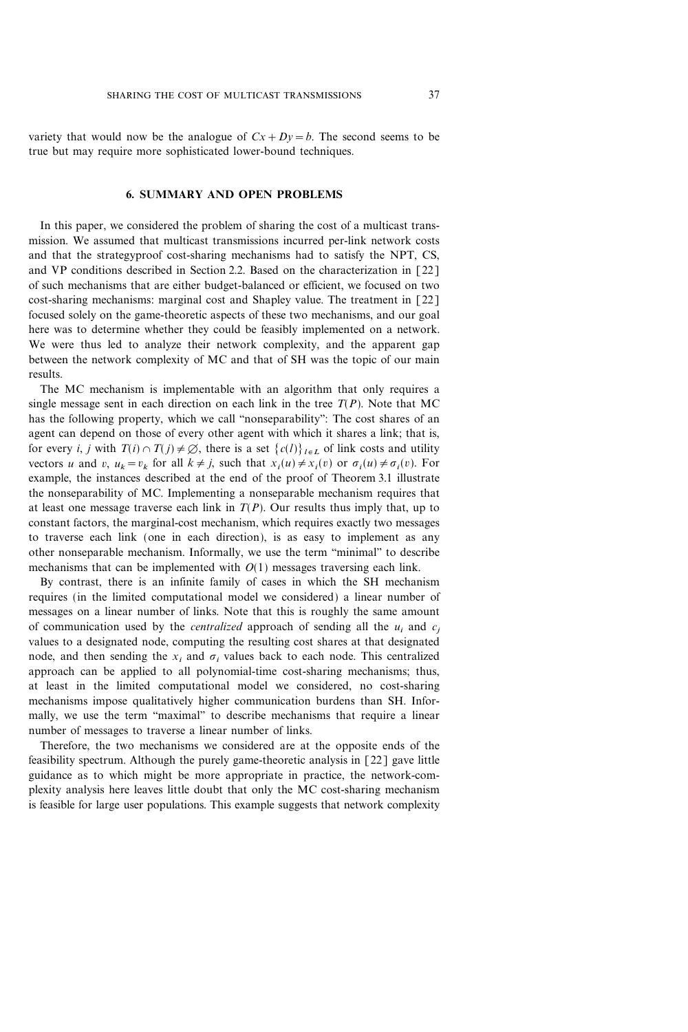variety that would now be the analogue of  $Cx + Dy = b$ . The second seems to be true but may require more sophisticated lower-bound techniques.

#### 6. SUMMARY AND OPEN PROBLEMS

In this paper, we considered the problem of sharing the cost of a multicast transmission. We assumed that multicast transmissions incurred per-link network costs and that the strategyproof cost-sharing mechanisms had to satisfy the NPT, CS, and VP conditions described in Section 2.2. Based on the characterization in [22] of such mechanisms that are either budget-balanced or efficient, we focused on two cost-sharing mechanisms: marginal cost and Shapley value. The treatment in [22] focused solely on the game-theoretic aspects of these two mechanisms, and our goal here was to determine whether they could be feasibly implemented on a network. We were thus led to analyze their network complexity, and the apparent gap between the network complexity of MC and that of SH was the topic of our main results.

The MC mechanism is implementable with an algorithm that only requires a single message sent in each direction on each link in the tree  $T(P)$ . Note that MC has the following property, which we call "nonseparability": The cost shares of an agent can depend on those of every other agent with which it shares a link; that is, for every *i*, *j* with  $T(i) \cap T(j) \neq \emptyset$ , there is a set  $\{c(l)\}_{l \in L}$  of link costs and utility vectors u and v,  $u_k = v_k$  for all  $k \neq j$ , such that  $x_i(u) \neq x_i(v)$  or  $\sigma_i(u) \neq \sigma_i(v)$ . For example, the instances described at the end of the proof of Theorem 3.1 illustrate the nonseparability of MC. Implementing a nonseparable mechanism requires that at least one message traverse each link in  $T(P)$ . Our results thus imply that, up to constant factors, the marginal-cost mechanism, which requires exactly two messages to traverse each link (one in each direction), is as easy to implement as any other nonseparable mechanism. Informally, we use the term "minimal" to describe mechanisms that can be implemented with  $O(1)$  messages traversing each link.

By contrast, there is an infinite family of cases in which the SH mechanism requires (in the limited computational model we considered) a linear number of messages on a linear number of links. Note that this is roughly the same amount of communication used by the *centralized* approach of sending all the  $u_i$  and  $c_j$ values to a designated node, computing the resulting cost shares at that designated node, and then sending the  $x_i$  and  $\sigma_i$  values back to each node. This centralized approach can be applied to all polynomial-time cost-sharing mechanisms; thus, at least in the limited computational model we considered, no cost-sharing mechanisms impose qualitatively higher communication burdens than SH. Informally, we use the term "maximal" to describe mechanisms that require a linear number of messages to traverse a linear number of links.

Therefore, the two mechanisms we considered are at the opposite ends of the feasibility spectrum. Although the purely game-theoretic analysis in [22] gave little guidance as to which might be more appropriate in practice, the network-complexity analysis here leaves little doubt that only the MC cost-sharing mechanism is feasible for large user populations. This example suggests that network complexity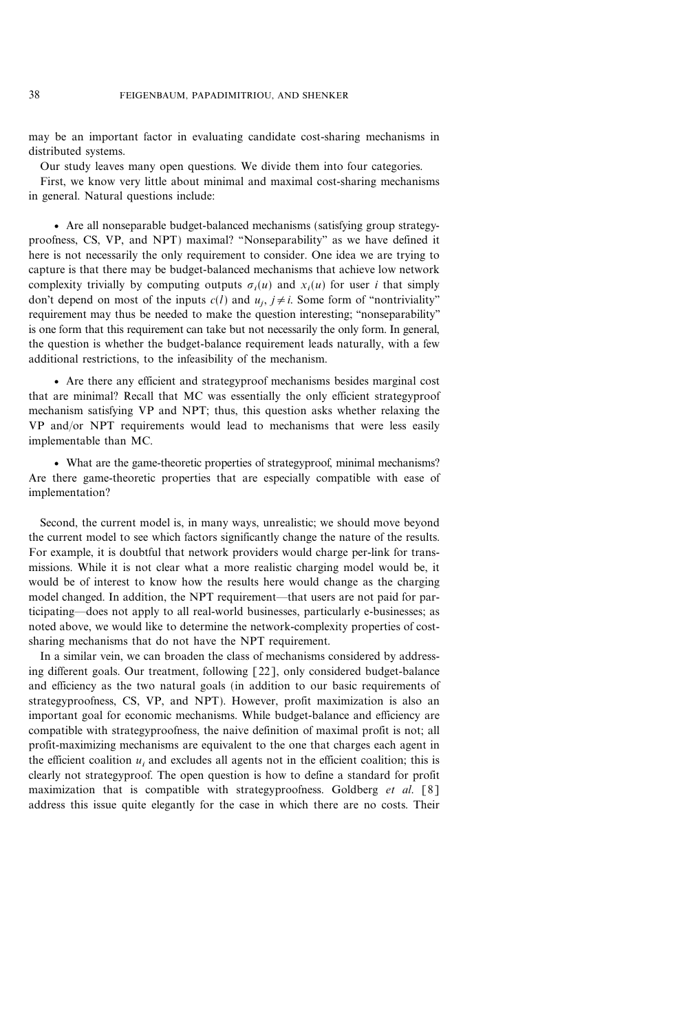may be an important factor in evaluating candidate cost-sharing mechanisms in distributed systems.

Our study leaves many open questions. We divide them into four categories.

First, we know very little about minimal and maximal cost-sharing mechanisms in general. Natural questions include:

v Are all nonseparable budget-balanced mechanisms (satisfying group strategyproofness, CS, VP, and NPT) maximal? "Nonseparability" as we have defined it here is not necessarily the only requirement to consider. One idea we are trying to capture is that there may be budget-balanced mechanisms that achieve low network complexity trivially by computing outputs  $\sigma_i(u)$  and  $x_i(u)$  for user i that simply don't depend on most of the inputs  $c(l)$  and  $u_i, j \neq i$ . Some form of "nontriviality" requirement may thus be needed to make the question interesting; "nonseparability" is one form that this requirement can take but not necessarily the only form. In general, the question is whether the budget-balance requirement leads naturally, with a few additional restrictions, to the infeasibility of the mechanism.

v Are there any efficient and strategyproof mechanisms besides marginal cost that are minimal? Recall that MC was essentially the only efficient strategyproof mechanism satisfying VP and NPT; thus, this question asks whether relaxing the VP and/or NPT requirements would lead to mechanisms that were less easily implementable than MC.

• What are the game-theoretic properties of strategyproof, minimal mechanisms? Are there game-theoretic properties that are especially compatible with ease of implementation?

Second, the current model is, in many ways, unrealistic; we should move beyond the current model to see which factors significantly change the nature of the results. For example, it is doubtful that network providers would charge per-link for transmissions. While it is not clear what a more realistic charging model would be, it would be of interest to know how the results here would change as the charging model changed. In addition, the NPT requirement—that users are not paid for participating—does not apply to all real-world businesses, particularly e-businesses; as noted above, we would like to determine the network-complexity properties of costsharing mechanisms that do not have the NPT requirement.

In a similar vein, we can broaden the class of mechanisms considered by addressing different goals. Our treatment, following [22], only considered budget-balance and efficiency as the two natural goals (in addition to our basic requirements of strategyproofness, CS, VP, and NPT). However, profit maximization is also an important goal for economic mechanisms. While budget-balance and efficiency are compatible with strategyproofness, the naive definition of maximal profit is not; all profit-maximizing mechanisms are equivalent to the one that charges each agent in the efficient coalition  $u_i$  and excludes all agents not in the efficient coalition; this is clearly not strategyproof. The open question is how to define a standard for profit maximization that is compatible with strategyproofness. Goldberg et al.  $\lceil 8 \rceil$ address this issue quite elegantly for the case in which there are no costs. Their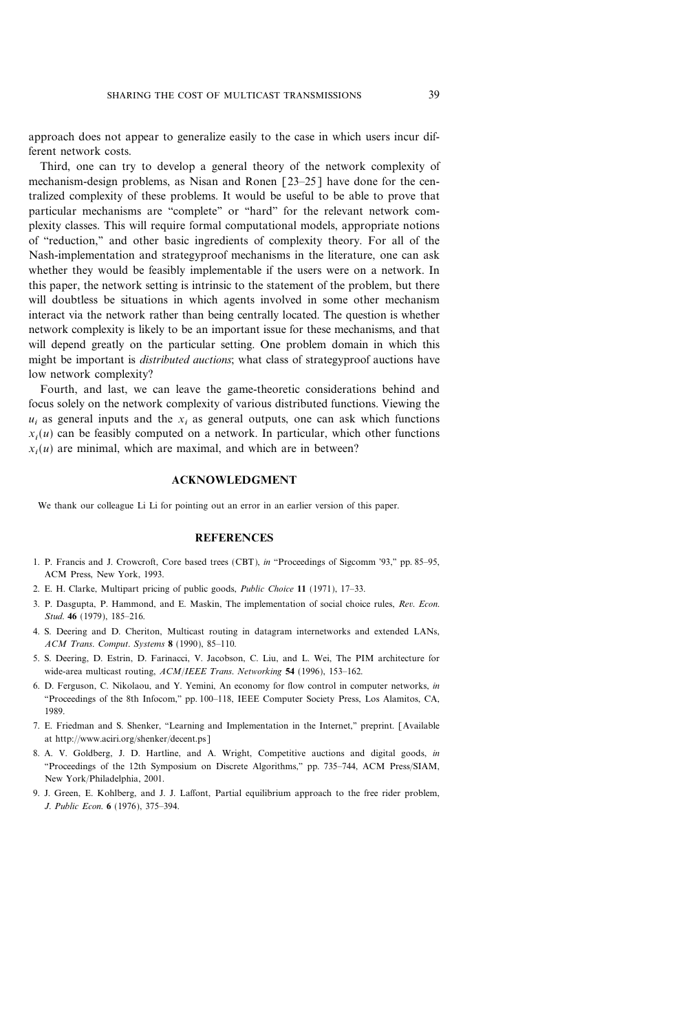approach does not appear to generalize easily to the case in which users incur different network costs.

Third, one can try to develop a general theory of the network complexity of mechanism-design problems, as Nisan and Ronen  $\lceil 23-25 \rceil$  have done for the centralized complexity of these problems. It would be useful to be able to prove that particular mechanisms are "complete" or "hard" for the relevant network complexity classes. This will require formal computational models, appropriate notions of ``reduction,'' and other basic ingredients of complexity theory. For all of the Nash-implementation and strategyproof mechanisms in the literature, one can ask whether they would be feasibly implementable if the users were on a network. In this paper, the network setting is intrinsic to the statement of the problem, but there will doubtless be situations in which agents involved in some other mechanism interact via the network rather than being centrally located. The question is whether network complexity is likely to be an important issue for these mechanisms, and that will depend greatly on the particular setting. One problem domain in which this might be important is *distributed auctions*; what class of strategyproof auctions have low network complexity?

Fourth, and last, we can leave the game-theoretic considerations behind and focus solely on the network complexity of various distributed functions. Viewing the  $u_i$  as general inputs and the  $x_i$  as general outputs, one can ask which functions  $x_i(u)$  can be feasibly computed on a network. In particular, which other functions  $x_i(u)$  are minimal, which are maximal, and which are in between?

#### ACKNOWLEDGMENT

We thank our colleague Li Li for pointing out an error in an earlier version of this paper.

#### REFERENCES

- 1. P. Francis and J. Crowcroft, Core based trees (CBT), in "Proceedings of Sigcomm '93," pp. 85-95, ACM Press, New York, 1993.
- 2. E. H. Clarke, Multipart pricing of public goods, Public Choice 11 (1971), 17-33.
- 3. P. Dasgupta, P. Hammond, and E. Maskin, The implementation of social choice rules, Rev. Econ. Stud. 46 (1979), 185-216.
- 4. S. Deering and D. Cheriton, Multicast routing in datagram internetworks and extended LANs,  $ACM$  Trans. Comput. Systems  $8$  (1990), 85-110.
- 5. S. Deering, D. Estrin, D. Farinacci, V. Jacobson, C. Liu, and L. Wei, The PIM architecture for wide-area multicast routing,  $ACM/IEEE$  Trans. Networking 54 (1996), 153-162.
- 6. D. Ferguson, C. Nikolaou, and Y. Yemini, An economy for flow control in computer networks, in "Proceedings of the 8th Infocom," pp. 100-118, IEEE Computer Society Press, Los Alamitos, CA, 1989.
- 7. E. Friedman and S. Shenker, "Learning and Implementation in the Internet," preprint. [Available at http://www.aciri.org/shenker/decent.ps]
- 8. A. V. Goldberg, J. D. Hartline, and A. Wright, Competitive auctions and digital goods, in "Proceedings of the 12th Symposium on Discrete Algorithms," pp. 735–744, ACM Press/SIAM, New YorkPhiladelphia, 2001.
- 9. J. Green, E. Kohlberg, and J. J. Laffont, Partial equilibrium approach to the free rider problem, J. Public Econ. 6 (1976), 375-394.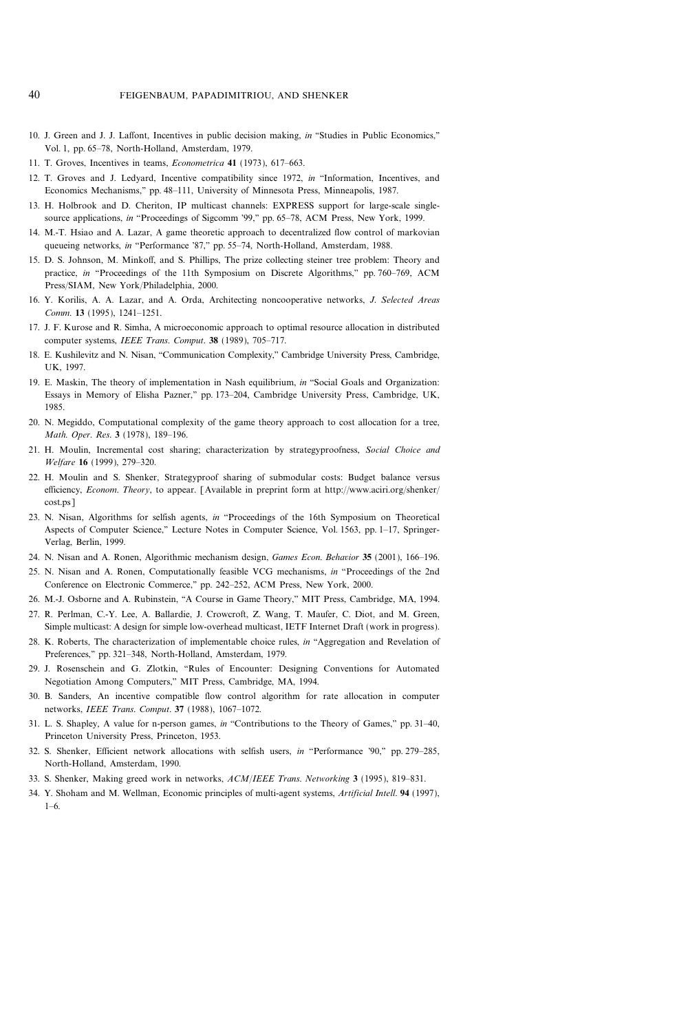- 10. J. Green and J. J. Laffont, Incentives in public decision making, in "Studies in Public Economics," Vol. 1, pp. 65-78, North-Holland, Amsterdam, 1979.
- 11. T. Groves, Incentives in teams, *Econometrica* 41 (1973), 617-663.
- 12. T. Groves and J. Ledyard, Incentive compatibility since 1972, in "Information, Incentives, and Economics Mechanisms," pp. 48-111, University of Minnesota Press, Minneapolis, 1987.
- 13. H. Holbrook and D. Cheriton, IP multicast channels: EXPRESS support for large-scale singlesource applications, in "Proceedings of Sigcomm '99," pp. 65–78, ACM Press, New York, 1999.
- 14. M.-T. Hsiao and A. Lazar, A game theoretic approach to decentralized flow control of markovian queueing networks, in "Performance '87," pp. 55-74, North-Holland, Amsterdam, 1988.
- 15. D. S. Johnson, M. Minkoff, and S. Phillips, The prize collecting steiner tree problem: Theory and practice, in "Proceedings of the 11th Symposium on Discrete Algorithms," pp. 760-769, ACM Press/SIAM, New York/Philadelphia, 2000.
- 16. Y. Korilis, A. A. Lazar, and A. Orda, Architecting noncooperative networks, J. Selected Areas Comm. 13 (1995), 1241-1251.
- 17. J. F. Kurose and R. Simha, A microeconomic approach to optimal resource allocation in distributed computer systems, IEEE Trans. Comput. 38 (1989), 705-717.
- 18. E. Kushilevitz and N. Nisan, "Communication Complexity," Cambridge University Press, Cambridge, UK, 1997.
- 19. E. Maskin, The theory of implementation in Nash equilibrium,  $in$  "Social Goals and Organization: Essays in Memory of Elisha Pazner," pp. 173-204, Cambridge University Press, Cambridge, UK, 1985.
- 20. N. Megiddo, Computational complexity of the game theory approach to cost allocation for a tree, Math. Oper. Res. 3 (1978), 189-196.
- 21. H. Moulin, Incremental cost sharing; characterization by strategyproofness, Social Choice and Welfare 16 (1999), 279-320.
- 22. H. Moulin and S. Shenker, Strategyproof sharing of submodular costs: Budget balance versus efficiency, Econom. Theory, to appear. [Available in preprint form at http://www.aciri.org/shenker/ cost.ps]
- 23. N. Nisan, Algorithms for selfish agents, in "Proceedings of the 16th Symposium on Theoretical Aspects of Computer Science," Lecture Notes in Computer Science, Vol. 1563, pp. 1-17, Springer-Verlag, Berlin, 1999.
- 24. N. Nisan and A. Ronen, Algorithmic mechanism design, Games Econ. Behavior 35 (2001), 166-196.
- 25. N. Nisan and A. Ronen, Computationally feasible VCG mechanisms, in "Proceedings of the 2nd Conference on Electronic Commerce," pp. 242-252, ACM Press, New York, 2000.
- 26. M.-J. Osborne and A. Rubinstein, "A Course in Game Theory," MIT Press, Cambridge, MA, 1994.
- 27. R. Perlman, C.-Y. Lee, A. Ballardie, J. Crowcroft, Z. Wang, T. Maufer, C. Diot, and M. Green, Simple multicast: A design for simple low-overhead multicast, IETF Internet Draft (work in progress).
- 28. K. Roberts, The characterization of implementable choice rules, in "Aggregation and Revelation of Preferences," pp. 321-348, North-Holland, Amsterdam, 1979.
- 29. J. Rosenschein and G. Zlotkin, "Rules of Encounter: Designing Conventions for Automated Negotiation Among Computers,'' MIT Press, Cambridge, MA, 1994.
- 30. B. Sanders, An incentive compatible flow control algorithm for rate allocation in computer networks, IEEE Trans. Comput. 37 (1988), 1067-1072.
- 31. L. S. Shapley, A value for n-person games, in "Contributions to the Theory of Games," pp. 31–40, Princeton University Press, Princeton, 1953.
- 32. S. Shenker, Efficient network allocations with selfish users, in "Performance '90," pp. 279–285, North-Holland, Amsterdam, 1990.
- 33. S. Shenker, Making greed work in networks,  $ACM/IEEE Trans. Networking$  3 (1995), 819-831.
- 34. Y. Shoham and M. Wellman, Economic principles of multi-agent systems, Artificial Intell. 94 (1997),  $1 - 6$ .